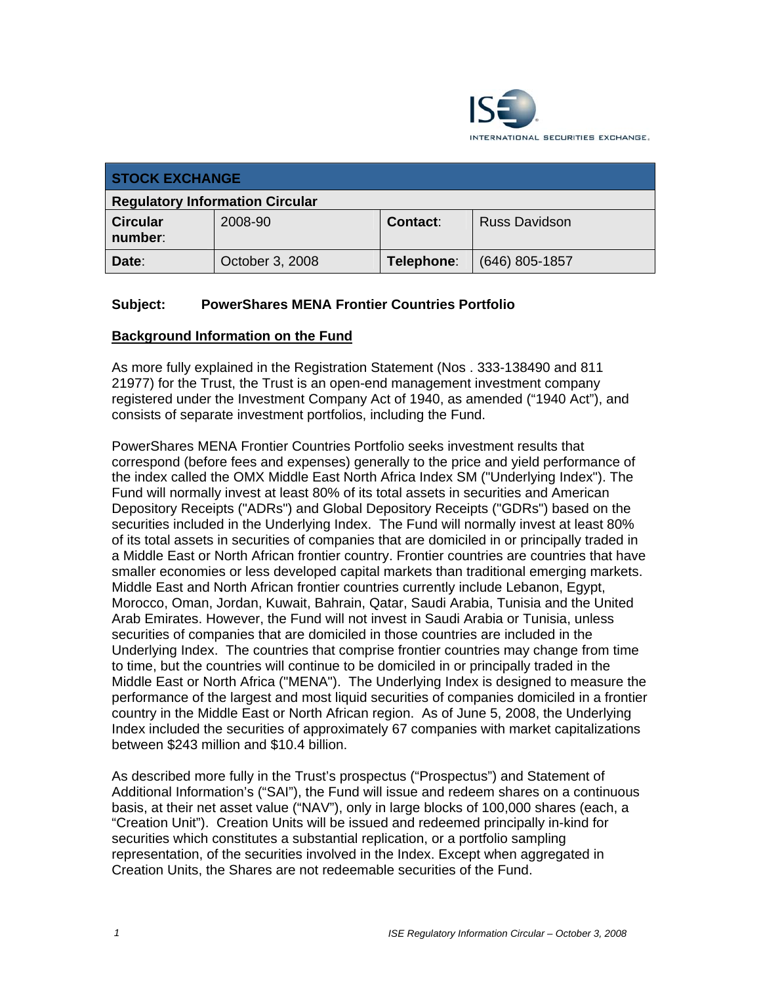

| <b>STOCK EXCHANGE</b>                  |                 |            |                      |
|----------------------------------------|-----------------|------------|----------------------|
| <b>Regulatory Information Circular</b> |                 |            |                      |
| <b>Circular</b><br>number:             | 2008-90         | Contact:   | <b>Russ Davidson</b> |
| Date:                                  | October 3, 2008 | Telephone: | $(646)$ 805-1857     |

# **Subject: PowerShares MENA Frontier Countries Portfolio**

#### **Background Information on the Fund**

As more fully explained in the Registration Statement (Nos . 333-138490 and 811 21977) for the Trust, the Trust is an open-end management investment company registered under the Investment Company Act of 1940, as amended ("1940 Act"), and consists of separate investment portfolios, including the Fund.

PowerShares MENA Frontier Countries Portfolio seeks investment results that correspond (before fees and expenses) generally to the price and yield performance of the index called the OMX Middle East North Africa Index SM ("Underlying Index"). The Fund will normally invest at least 80% of its total assets in securities and American Depository Receipts ("ADRs") and Global Depository Receipts ("GDRs") based on the securities included in the Underlying Index. The Fund will normally invest at least 80% of its total assets in securities of companies that are domiciled in or principally traded in a Middle East or North African frontier country. Frontier countries are countries that have smaller economies or less developed capital markets than traditional emerging markets. Middle East and North African frontier countries currently include Lebanon, Egypt, Morocco, Oman, Jordan, Kuwait, Bahrain, Qatar, Saudi Arabia, Tunisia and the United Arab Emirates. However, the Fund will not invest in Saudi Arabia or Tunisia, unless securities of companies that are domiciled in those countries are included in the Underlying Index. The countries that comprise frontier countries may change from time to time, but the countries will continue to be domiciled in or principally traded in the Middle East or North Africa ("MENA"). The Underlying Index is designed to measure the performance of the largest and most liquid securities of companies domiciled in a frontier country in the Middle East or North African region. As of June 5, 2008, the Underlying Index included the securities of approximately 67 companies with market capitalizations between \$243 million and \$10.4 billion.

As described more fully in the Trust's prospectus ("Prospectus") and Statement of Additional Information's ("SAI"), the Fund will issue and redeem shares on a continuous basis, at their net asset value ("NAV"), only in large blocks of 100,000 shares (each, a "Creation Unit"). Creation Units will be issued and redeemed principally in-kind for securities which constitutes a substantial replication, or a portfolio sampling representation, of the securities involved in the Index. Except when aggregated in Creation Units, the Shares are not redeemable securities of the Fund.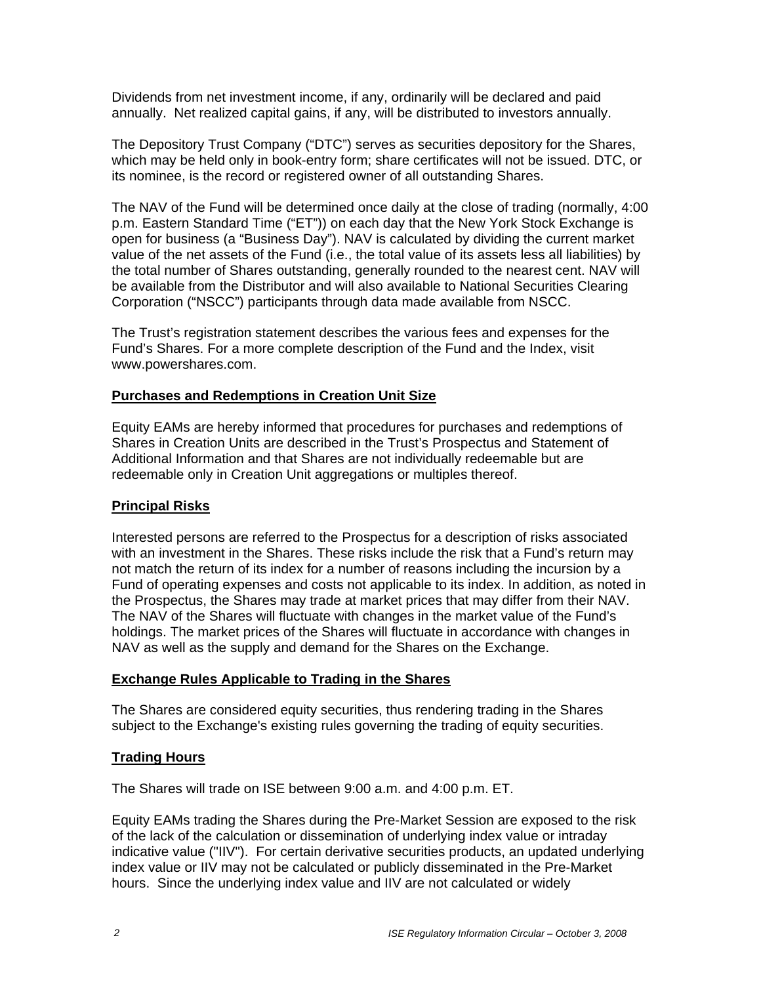Dividends from net investment income, if any, ordinarily will be declared and paid annually. Net realized capital gains, if any, will be distributed to investors annually.

The Depository Trust Company ("DTC") serves as securities depository for the Shares, which may be held only in book-entry form; share certificates will not be issued. DTC, or its nominee, is the record or registered owner of all outstanding Shares.

The NAV of the Fund will be determined once daily at the close of trading (normally, 4:00 p.m. Eastern Standard Time ("ET")) on each day that the New York Stock Exchange is open for business (a "Business Day"). NAV is calculated by dividing the current market value of the net assets of the Fund (i.e., the total value of its assets less all liabilities) by the total number of Shares outstanding, generally rounded to the nearest cent. NAV will be available from the Distributor and will also available to National Securities Clearing Corporation ("NSCC") participants through data made available from NSCC.

The Trust's registration statement describes the various fees and expenses for the Fund's Shares. For a more complete description of the Fund and the Index, visit www.powershares.com.

# **Purchases and Redemptions in Creation Unit Size**

Equity EAMs are hereby informed that procedures for purchases and redemptions of Shares in Creation Units are described in the Trust's Prospectus and Statement of Additional Information and that Shares are not individually redeemable but are redeemable only in Creation Unit aggregations or multiples thereof.

## **Principal Risks**

Interested persons are referred to the Prospectus for a description of risks associated with an investment in the Shares. These risks include the risk that a Fund's return may not match the return of its index for a number of reasons including the incursion by a Fund of operating expenses and costs not applicable to its index. In addition, as noted in the Prospectus, the Shares may trade at market prices that may differ from their NAV. The NAV of the Shares will fluctuate with changes in the market value of the Fund's holdings. The market prices of the Shares will fluctuate in accordance with changes in NAV as well as the supply and demand for the Shares on the Exchange.

# **Exchange Rules Applicable to Trading in the Shares**

The Shares are considered equity securities, thus rendering trading in the Shares subject to the Exchange's existing rules governing the trading of equity securities.

## **Trading Hours**

The Shares will trade on ISE between 9:00 a.m. and 4:00 p.m. ET.

Equity EAMs trading the Shares during the Pre-Market Session are exposed to the risk of the lack of the calculation or dissemination of underlying index value or intraday indicative value ("IIV"). For certain derivative securities products, an updated underlying index value or IIV may not be calculated or publicly disseminated in the Pre-Market hours. Since the underlying index value and IIV are not calculated or widely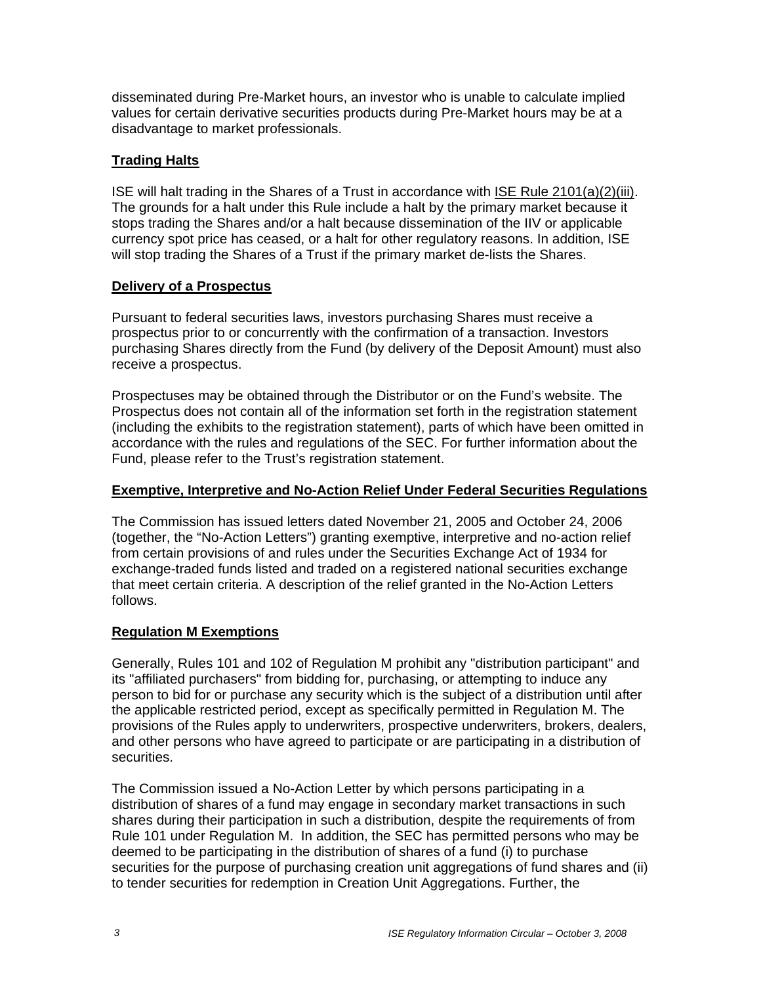disseminated during Pre-Market hours, an investor who is unable to calculate implied values for certain derivative securities products during Pre-Market hours may be at a disadvantage to market professionals.

# **Trading Halts**

ISE will halt trading in the Shares of a Trust in accordance with ISE Rule 2101(a)(2)(iii). The grounds for a halt under this Rule include a halt by the primary market because it stops trading the Shares and/or a halt because dissemination of the IIV or applicable currency spot price has ceased, or a halt for other regulatory reasons. In addition, ISE will stop trading the Shares of a Trust if the primary market de-lists the Shares.

## **Delivery of a Prospectus**

Pursuant to federal securities laws, investors purchasing Shares must receive a prospectus prior to or concurrently with the confirmation of a transaction. Investors purchasing Shares directly from the Fund (by delivery of the Deposit Amount) must also receive a prospectus.

Prospectuses may be obtained through the Distributor or on the Fund's website. The Prospectus does not contain all of the information set forth in the registration statement (including the exhibits to the registration statement), parts of which have been omitted in accordance with the rules and regulations of the SEC. For further information about the Fund, please refer to the Trust's registration statement.

#### **Exemptive, Interpretive and No-Action Relief Under Federal Securities Regulations**

The Commission has issued letters dated November 21, 2005 and October 24, 2006 (together, the "No-Action Letters") granting exemptive, interpretive and no-action relief from certain provisions of and rules under the Securities Exchange Act of 1934 for exchange-traded funds listed and traded on a registered national securities exchange that meet certain criteria. A description of the relief granted in the No-Action Letters follows.

## **Regulation M Exemptions**

Generally, Rules 101 and 102 of Regulation M prohibit any "distribution participant" and its "affiliated purchasers" from bidding for, purchasing, or attempting to induce any person to bid for or purchase any security which is the subject of a distribution until after the applicable restricted period, except as specifically permitted in Regulation M. The provisions of the Rules apply to underwriters, prospective underwriters, brokers, dealers, and other persons who have agreed to participate or are participating in a distribution of securities.

The Commission issued a No-Action Letter by which persons participating in a distribution of shares of a fund may engage in secondary market transactions in such shares during their participation in such a distribution, despite the requirements of from Rule 101 under Regulation M. In addition, the SEC has permitted persons who may be deemed to be participating in the distribution of shares of a fund (i) to purchase securities for the purpose of purchasing creation unit aggregations of fund shares and (ii) to tender securities for redemption in Creation Unit Aggregations. Further, the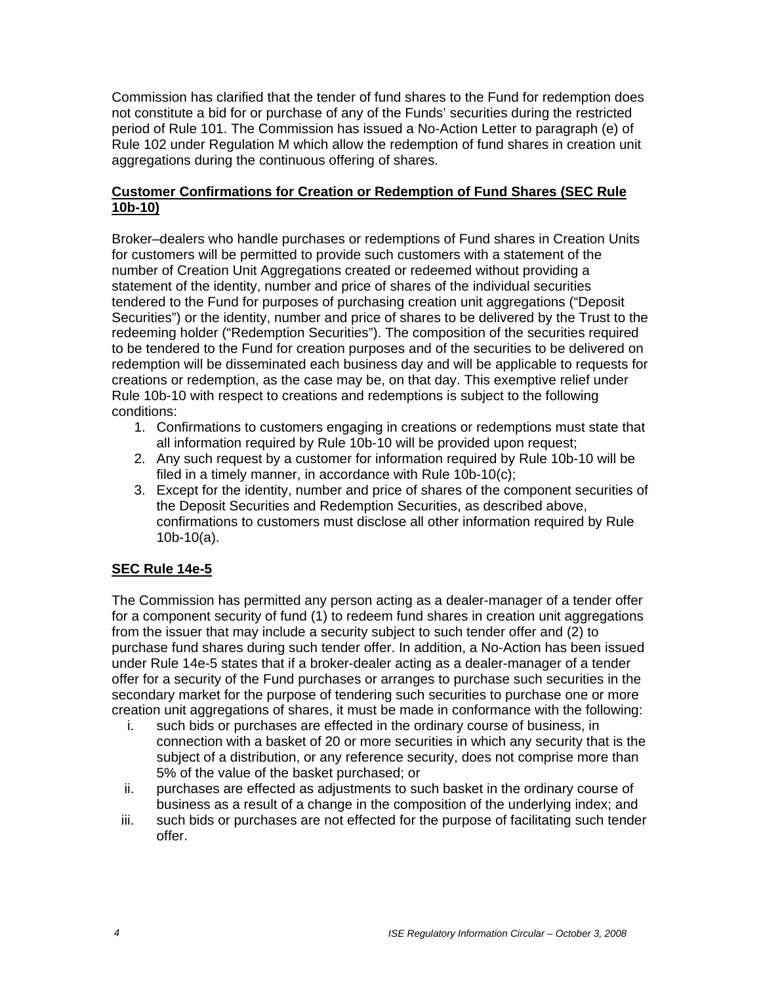Commission has clarified that the tender of fund shares to the Fund for redemption does not constitute a bid for or purchase of any of the Funds' securities during the restricted period of Rule 101. The Commission has issued a No-Action Letter to paragraph (e) of Rule 102 under Regulation M which allow the redemption of fund shares in creation unit aggregations during the continuous offering of shares.

## **Customer Confirmations for Creation or Redemption of Fund Shares (SEC Rule 10b-10)**

Broker–dealers who handle purchases or redemptions of Fund shares in Creation Units for customers will be permitted to provide such customers with a statement of the number of Creation Unit Aggregations created or redeemed without providing a statement of the identity, number and price of shares of the individual securities tendered to the Fund for purposes of purchasing creation unit aggregations ("Deposit Securities") or the identity, number and price of shares to be delivered by the Trust to the redeeming holder ("Redemption Securities"). The composition of the securities required to be tendered to the Fund for creation purposes and of the securities to be delivered on redemption will be disseminated each business day and will be applicable to requests for creations or redemption, as the case may be, on that day. This exemptive relief under Rule 10b-10 with respect to creations and redemptions is subject to the following conditions:

- 1. Confirmations to customers engaging in creations or redemptions must state that all information required by Rule 10b-10 will be provided upon request;
- 2. Any such request by a customer for information required by Rule 10b-10 will be filed in a timely manner, in accordance with Rule 10b-10(c);
- 3. Except for the identity, number and price of shares of the component securities of the Deposit Securities and Redemption Securities, as described above, confirmations to customers must disclose all other information required by Rule 10b-10(a).

# **SEC Rule 14e-5**

The Commission has permitted any person acting as a dealer-manager of a tender offer for a component security of fund (1) to redeem fund shares in creation unit aggregations from the issuer that may include a security subject to such tender offer and (2) to purchase fund shares during such tender offer. In addition, a No-Action has been issued under Rule 14e-5 states that if a broker-dealer acting as a dealer-manager of a tender offer for a security of the Fund purchases or arranges to purchase such securities in the secondary market for the purpose of tendering such securities to purchase one or more creation unit aggregations of shares, it must be made in conformance with the following:

- i. such bids or purchases are effected in the ordinary course of business, in connection with a basket of 20 or more securities in which any security that is the subject of a distribution, or any reference security, does not comprise more than 5% of the value of the basket purchased; or
- ii. purchases are effected as adjustments to such basket in the ordinary course of business as a result of a change in the composition of the underlying index; and
- iii. such bids or purchases are not effected for the purpose of facilitating such tender offer.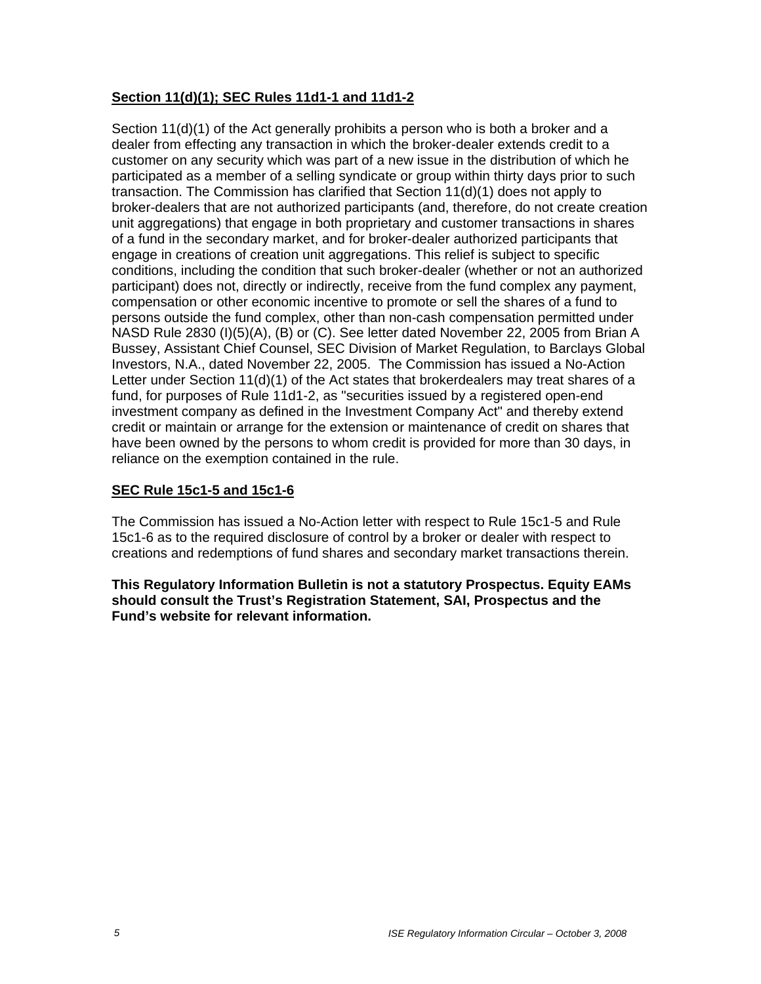# **Section 11(d)(1); SEC Rules 11d1-1 and 11d1-2**

Section 11(d)(1) of the Act generally prohibits a person who is both a broker and a dealer from effecting any transaction in which the broker-dealer extends credit to a customer on any security which was part of a new issue in the distribution of which he participated as a member of a selling syndicate or group within thirty days prior to such transaction. The Commission has clarified that Section 11(d)(1) does not apply to broker-dealers that are not authorized participants (and, therefore, do not create creation unit aggregations) that engage in both proprietary and customer transactions in shares of a fund in the secondary market, and for broker-dealer authorized participants that engage in creations of creation unit aggregations. This relief is subject to specific conditions, including the condition that such broker-dealer (whether or not an authorized participant) does not, directly or indirectly, receive from the fund complex any payment, compensation or other economic incentive to promote or sell the shares of a fund to persons outside the fund complex, other than non-cash compensation permitted under NASD Rule 2830 (I)(5)(A), (B) or (C). See letter dated November 22, 2005 from Brian A Bussey, Assistant Chief Counsel, SEC Division of Market Regulation, to Barclays Global Investors, N.A., dated November 22, 2005. The Commission has issued a No-Action Letter under Section 11(d)(1) of the Act states that brokerdealers may treat shares of a fund, for purposes of Rule 11d1-2, as "securities issued by a registered open-end investment company as defined in the Investment Company Act" and thereby extend credit or maintain or arrange for the extension or maintenance of credit on shares that have been owned by the persons to whom credit is provided for more than 30 days, in reliance on the exemption contained in the rule.

## **SEC Rule 15c1-5 and 15c1-6**

The Commission has issued a No-Action letter with respect to Rule 15c1-5 and Rule 15c1-6 as to the required disclosure of control by a broker or dealer with respect to creations and redemptions of fund shares and secondary market transactions therein.

**This Regulatory Information Bulletin is not a statutory Prospectus. Equity EAMs should consult the Trust's Registration Statement, SAI, Prospectus and the Fund's website for relevant information.**